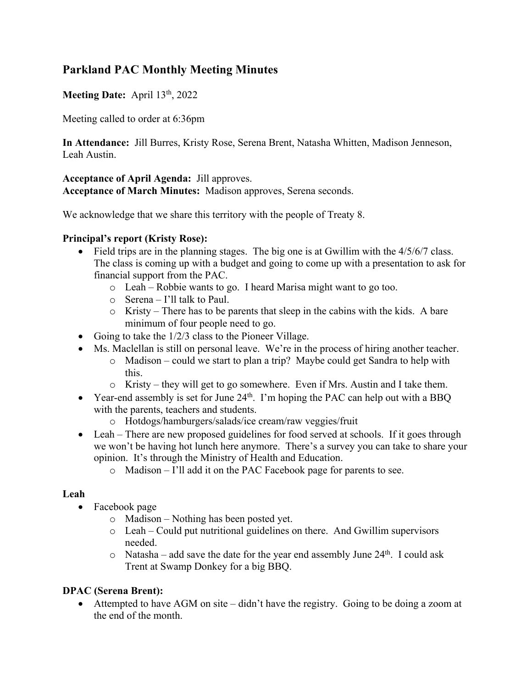# **Parkland PAC Monthly Meeting Minutes**

**Meeting Date:** April 13th, 2022

Meeting called to order at 6:36pm

**In Attendance:** Jill Burres, Kristy Rose, Serena Brent, Natasha Whitten, Madison Jenneson, Leah Austin.

### **Acceptance of April Agenda:** Jill approves.

**Acceptance of March Minutes:** Madison approves, Serena seconds.

We acknowledge that we share this territory with the people of Treaty 8.

## **Principal's report (Kristy Rose):**

- Field trips are in the planning stages. The big one is at Gwillim with the 4/5/6/7 class. The class is coming up with a budget and going to come up with a presentation to ask for financial support from the PAC.
	- o Leah Robbie wants to go. I heard Marisa might want to go too.
	- o Serena I'll talk to Paul.
	- o Kristy There has to be parents that sleep in the cabins with the kids. A bare minimum of four people need to go.
- Going to take the  $1/2/3$  class to the Pioneer Village.
- Ms. Maclellan is still on personal leave. We're in the process of hiring another teacher.
	- o Madison could we start to plan a trip? Maybe could get Sandra to help with this.
	- $\circ$  Kristy they will get to go somewhere. Even if Mrs. Austin and I take them.
- Year-end assembly is set for June  $24<sup>th</sup>$ . I'm hoping the PAC can help out with a BBQ with the parents, teachers and students.
	- o Hotdogs/hamburgers/salads/ice cream/raw veggies/fruit
- Leah There are new proposed guidelines for food served at schools. If it goes through we won't be having hot lunch here anymore. There's a survey you can take to share your opinion. It's through the Ministry of Health and Education.
	- o Madison I'll add it on the PAC Facebook page for parents to see.

#### **Leah**

- Facebook page
	- o Madison Nothing has been posted yet.
	- o Leah Could put nutritional guidelines on there. And Gwillim supervisors needed.
	- $\circ$  Natasha add save the date for the year end assembly June 24<sup>th</sup>. I could ask Trent at Swamp Donkey for a big BBQ.

## **DPAC (Serena Brent):**

• Attempted to have AGM on site – didn't have the registry. Going to be doing a zoom at the end of the month.